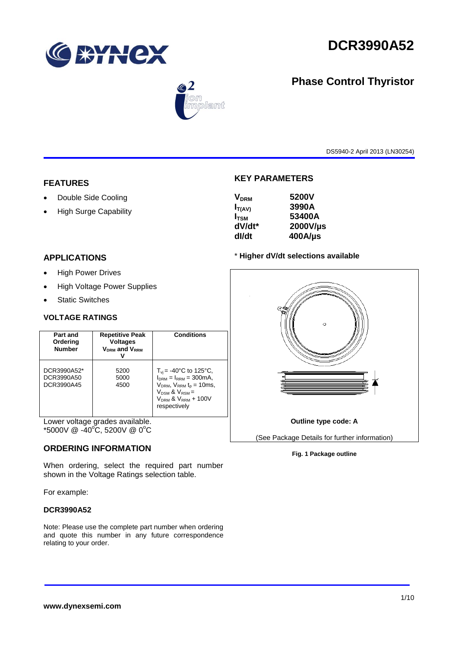

**Phase Control Thyristor**



# $\circledast$ .<br>Dlamt

DS5940-2 April 2013 (LN30254)

## **FEATURES**

- Double Side Cooling
- High Surge Capability

## **APPLICATIONS**

- High Power Drives
- High Voltage Power Supplies
- Static Switches

#### **VOLTAGE RATINGS**

| Part and<br>Ordering<br><b>Number</b>   | <b>Repetitive Peak</b><br><b>Voltages</b><br><b>VDRM</b> and VRRM | Conditions                                                                                                                                                                   |
|-----------------------------------------|-------------------------------------------------------------------|------------------------------------------------------------------------------------------------------------------------------------------------------------------------------|
| DCR3990A52*<br>DCR3990A50<br>DCR3990A45 | 5200<br>5000<br>4500                                              | $T_{\rm vi}$ = -40°C to 125°C,<br>$IDRM = IRRM = 300mA.$<br>$V_{DRM}$ , $V_{RRM}$ $t_{p}$ = 10ms,<br>$V_{DSM}$ & $V_{RSM}$ =<br>$V_{DRM}$ & $V_{RRM}$ + 100V<br>respectively |

Lower voltage grades available. \*5000V @ -40°C, 5200V @ 0°C

#### **ORDERING INFORMATION**

When ordering, select the required part number shown in the Voltage Ratings selection table.

For example:

#### **DCR3990A52**

Note: Please use the complete part number when ordering and quote this number in any future correspondence relating to your order.

#### **KEY PARAMETERS**

| 5200V<br><b>V<sub>DRM</sub></b> |
|---------------------------------|
| 3990A<br>$I_{T(AV)}$            |
| 53400A<br>$I_{\rm TSM}$         |
| dV/dt*<br>2000V/µs              |
| $400$ A/µs<br>dl/dt             |

#### \* **Higher dV/dt selections available**



#### **Fig. 1 Package outline**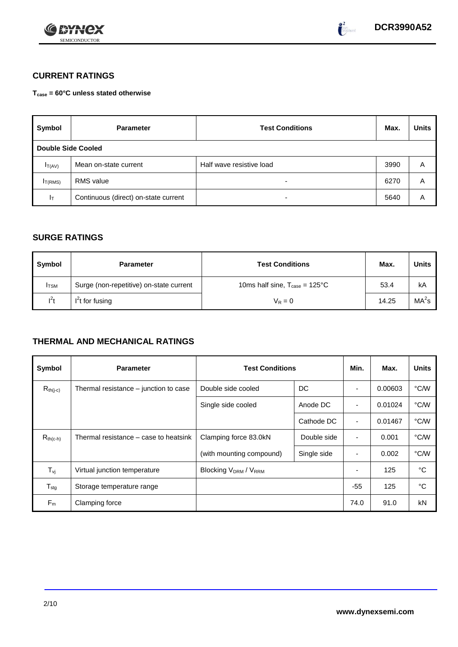



# **CURRENT RATINGS**

**Tcase = 60°C unless stated otherwise**

| Symbol              | <b>Parameter</b>                     | <b>Test Conditions</b>   | Max. | <b>Units</b> |
|---------------------|--------------------------------------|--------------------------|------|--------------|
| Double Side Cooled  |                                      |                          |      |              |
| $I_{T(AV)}$         | Mean on-state current                | Half wave resistive load | 3990 | A            |
| I <sub>T(RMS)</sub> | <b>RMS</b> value                     | -                        | 6270 | Α            |
| Iτ                  | Continuous (direct) on-state current | $\overline{\phantom{0}}$ | 5640 | Α            |

#### **SURGE RATINGS**

| Symbol      | <b>Parameter</b>                        | <b>Test Conditions</b>                            | Max.  | <b>Units</b>      |
|-------------|-----------------------------------------|---------------------------------------------------|-------|-------------------|
| <b>ITSM</b> | Surge (non-repetitive) on-state current | 10ms half sine, $T_{\text{case}} = 125^{\circ}$ C | 53.4  | kA                |
| $l^2t$      | $I2t$ for fusing                        | $V_R = 0$                                         | 14.25 | MA <sup>2</sup> s |

# **THERMAL AND MECHANICAL RATINGS**

| Symbol           | <b>Parameter</b>                      | <b>Test Conditions</b>      |             | Min.                     | Max.    | <b>Units</b> |
|------------------|---------------------------------------|-----------------------------|-------------|--------------------------|---------|--------------|
| $R_{th(j-c)}$    | Thermal resistance – junction to case | Double side cooled          | DC          |                          | 0.00603 | °C/W         |
|                  |                                       | Single side cooled          | Anode DC    |                          | 0.01024 | °C/W         |
|                  |                                       |                             | Cathode DC  | $\overline{\phantom{a}}$ | 0.01467 | °C/W         |
| $R_{th(c-h)}$    | Thermal resistance – case to heatsink | Clamping force 83.0kN       | Double side | $\blacksquare$           | 0.001   | °C/W         |
|                  |                                       | (with mounting compound)    | Single side | $\blacksquare$           | 0.002   | °C/W         |
| $T_{\rm vj}$     | Virtual junction temperature          | <b>Blocking VDRM / VRRM</b> |             |                          | 125     | °C           |
| $T_{\text{stg}}$ | Storage temperature range             |                             |             | $-55$                    | 125     | °C           |
| $F_m$            | Clamping force                        |                             |             | 74.0                     | 91.0    | kN           |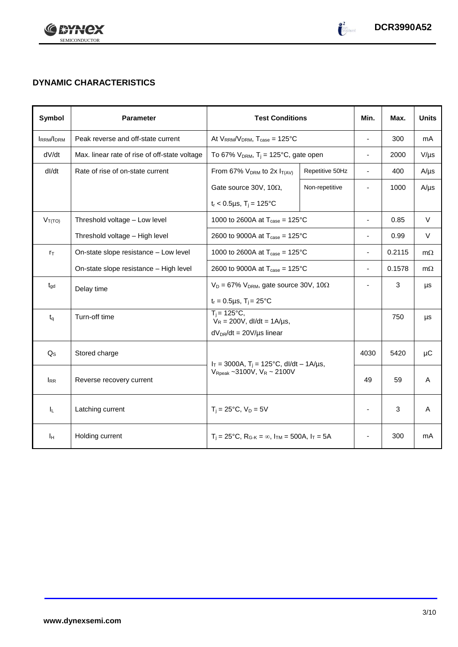

# **DYNAMIC CHARACTERISTICS**

| Symbol           | <b>Parameter</b>                              | <b>Test Conditions</b>                                                  |                 | Min.                     | Max.   | <b>Units</b> |
|------------------|-----------------------------------------------|-------------------------------------------------------------------------|-----------------|--------------------------|--------|--------------|
| <b>IRRM/IDRM</b> | Peak reverse and off-state current            | At $V_{RRM}/V_{DRM}$ , $T_{case} = 125^{\circ}C$                        |                 | $\overline{a}$           | 300    | mA           |
| dV/dt            | Max. linear rate of rise of off-state voltage | To 67% $V_{DRM}$ , T <sub>i</sub> = 125°C, gate open                    |                 | $\blacksquare$           | 2000   | $V/\mu s$    |
| dl/dt            | Rate of rise of on-state current              | From 67% $V_{DRM}$ to 2x $I_{T(AV)}$                                    | Repetitive 50Hz | $\blacksquare$           | 400    | $A/\mu s$    |
|                  |                                               | Gate source 30V, 10 $\Omega$ ,                                          | Non-repetitive  |                          | 1000   | $A/\mu s$    |
|                  |                                               | $t_r$ < 0.5µs, T <sub>i</sub> = 125°C                                   |                 |                          |        |              |
| $V_{T(TO)}$      | Threshold voltage - Low level                 | 1000 to 2600A at $T_{\text{case}} = 125^{\circ}C$                       |                 | $\overline{\phantom{a}}$ | 0.85   | V            |
|                  | Threshold voltage - High level                | 2600 to 9000A at $T_{\text{case}} = 125^{\circ}$ C                      |                 | $\overline{\phantom{a}}$ | 0.99   | V            |
| $r_{\text{T}}$   | On-state slope resistance - Low level         | 1000 to 2600A at $T_{\text{case}} = 125^{\circ}C$                       |                 | $\overline{\phantom{a}}$ | 0.2115 | $m\Omega$    |
|                  | On-state slope resistance - High level        | 2600 to 9000A at $T_{\text{case}} = 125^{\circ}C$                       |                 | $\overline{\phantom{a}}$ | 0.1578 | $m\Omega$    |
| $t_{\text{gd}}$  | Delay time                                    | $V_D = 67\%$ V <sub>DRM</sub> , gate source 30V, 10 $\Omega$            |                 | $\overline{\phantom{a}}$ | 3      | μs           |
|                  |                                               | $t_r = 0.5 \mu s$ , $T_i = 25$ °C                                       |                 |                          |        |              |
| $t_{q}$          | Turn-off time                                 | $T_i = 125^{\circ}C$ ,<br>$V_R = 200V$ , dl/dt = 1A/µs,                 |                 |                          | 750    | μs           |
|                  |                                               | $dV_{DR}/dt = 20V/\mu s$ linear                                         |                 |                          |        |              |
| $Q_{\rm S}$      | Stored charge                                 | $I_T = 3000A$ , $T_i = 125^{\circ}C$ , dl/dt - 1A/µs,                   |                 | 4030                     | 5420   | μC           |
| $I_{RR}$         | Reverse recovery current                      | $V_{\text{Rpeak}}$ ~3100V, $V_R$ ~ 2100V                                |                 | 49                       | 59     | A            |
| ΙL.              | Latching current                              | $T_i = 25^{\circ}C$ , $V_D = 5V$                                        |                 |                          | 3      | A            |
| Iн               | Holding current                               | $T_i = 25^{\circ}C$ , $R_{G-K} = \infty$ , $I_{TM} = 500A$ , $I_T = 5A$ |                 |                          | 300    | mA           |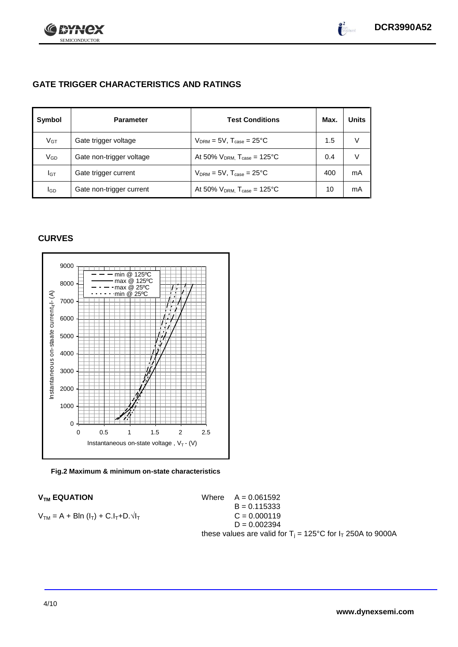

# **GATE TRIGGER CHARACTERISTICS AND RATINGS**

| Symbol      | <b>Parameter</b>         | <b>Test Conditions</b>                       | Max. | <b>Units</b> |
|-------------|--------------------------|----------------------------------------------|------|--------------|
| $V_{GT}$    | Gate trigger voltage     | $V_{DRM} = 5V$ , $T_{case} = 25^{\circ}C$    | 1.5  | V            |
| VGD         | Gate non-trigger voltage | At 50% $V_{DRM}$ , $T_{case} = 125$ °C       | 0.4  | V            |
| IGТ         | Gate trigger current     | $V_{DRM}$ = 5V, $T_{case}$ = 25°C            | 400  | mA           |
| <b>I</b> GD | Gate non-trigger current | At 50% $V_{DRM}$ , $T_{case} = 125^{\circ}C$ | 10   | mA           |

# **CURVES**



**Fig.2 Maximum & minimum on-state characteristics**

 $V_{TM}$  **EQUATION** Where  $A = 0.061592$  $B = 0.115333$  $V_{TM} = A + Bln (I_T) + C.I_T + D.\sqrt{I_T}$   $C = 0.000119$  $D = 0.002394$ these values are valid for  $T_i = 125^{\circ}C$  for  $I_T$  250A to 9000A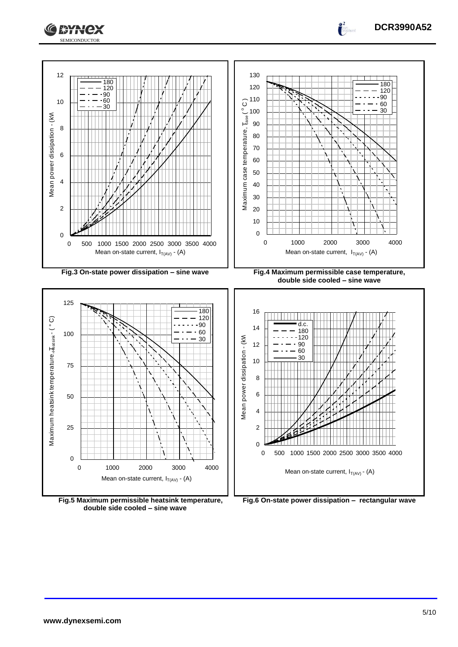

**Fig.5 Maximum permissible heatsink temperature, double side cooled – sine wave**

**Fig.6 On-state power dissipation – rectangular wave**

**DCR3990A52**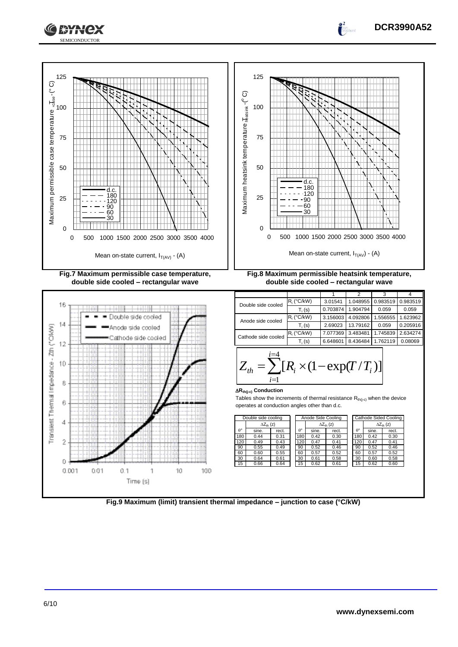





**DCR3990A52**

 $\overline{2}$ 

D  $0.001$ 

 $0.1$ 

1

Time (s)

 $0.01$ 

10

100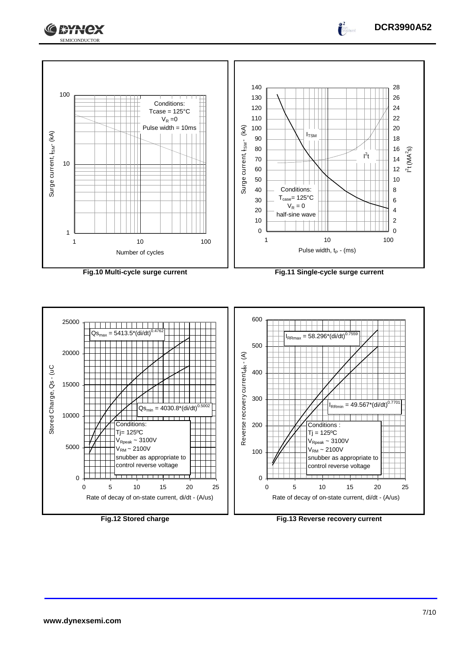



**Fig.10 Multi-cycle surge current Fig.11 Single-cycle surge current**



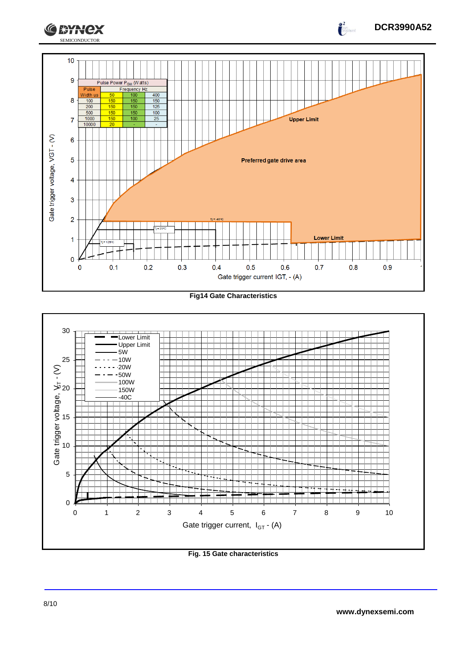

**Fig14 Gate Characteristics**



**Fig. 15 Gate characteristics**

**DCR3990A52**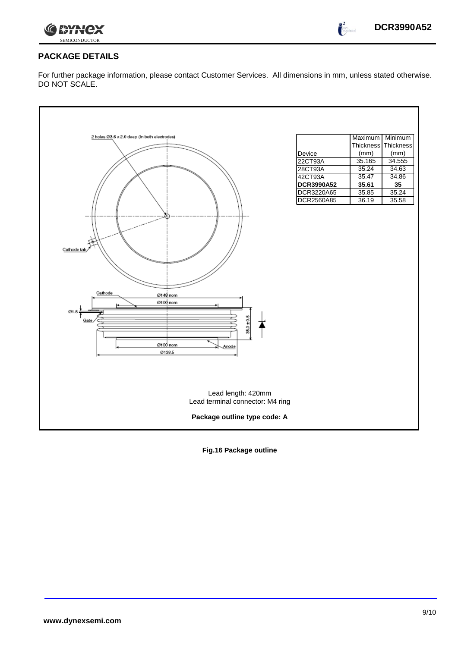



 $\bullet^2$ 

# **PACKAGE DETAILS**

For further package information, please contact Customer Services. All dimensions in mm, unless stated otherwise. DO NOT SCALE.

| 2 holes Ø3.6 x 2.0 deep (In both electrodes) |                   | Maximum        | Minimum        |
|----------------------------------------------|-------------------|----------------|----------------|
|                                              |                   | Thickness      | Thickness      |
|                                              | Device<br>22CT93A | (mm)<br>35.165 | (mm)<br>34.555 |
|                                              | 28CT93A           | 35.24          | 34.63          |
|                                              | 42CT93A           | 35.47          | 34.86          |
|                                              | <b>DCR3990A52</b> | 35.61          | 35             |
|                                              | DCR3220A65        | 35.85          | 35.24          |
|                                              | DCR2560A85        | 36.19          | 35.58          |
|                                              |                   |                |                |
|                                              |                   |                |                |
|                                              |                   |                |                |
|                                              |                   |                |                |
|                                              |                   |                |                |
| Cathode tab                                  |                   |                |                |
|                                              |                   |                |                |
|                                              |                   |                |                |
|                                              |                   |                |                |
|                                              |                   |                |                |
| Cathode<br>Ø148 nom                          |                   |                |                |
| Ø100 nom                                     |                   |                |                |
| Ø1.5                                         |                   |                |                |
| Gate                                         |                   |                |                |
| 35.0 ± 0.5                                   |                   |                |                |
|                                              |                   |                |                |
| Ø100 nom<br>Anode                            |                   |                |                |
| 0138.5                                       |                   |                |                |
|                                              |                   |                |                |
|                                              |                   |                |                |
|                                              |                   |                |                |
|                                              |                   |                |                |
| Lead length: 420mm                           |                   |                |                |
| Lead terminal connector: M4 ring             |                   |                |                |
| Package outline type code: A                 |                   |                |                |

**Fig.16 Package outline**